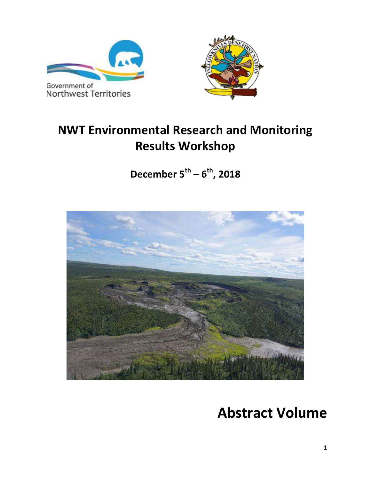



# **NWT Environmental Research and Monitoring Results Workshop**

**December 5th – 6 th, 2018**



# **Abstract Volume**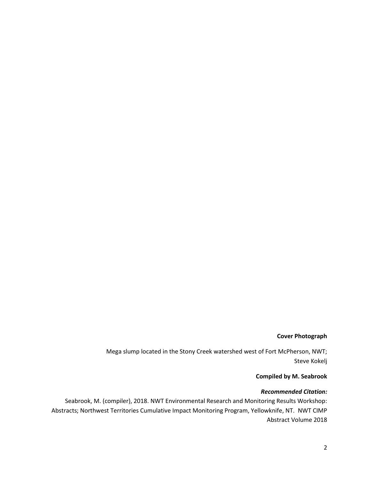#### **Cover Photograph**

Mega slump located in the Stony Creek watershed west of Fort McPherson, NWT; Steve Kokelj

#### **Compiled by M. Seabrook**

#### *Recommended Citation:*

Seabrook, M. (compiler), 2018. NWT Environmental Research and Monitoring Results Workshop: Abstracts; Northwest Territories Cumulative Impact Monitoring Program, Yellowknife, NT. NWT CIMP Abstract Volume 2018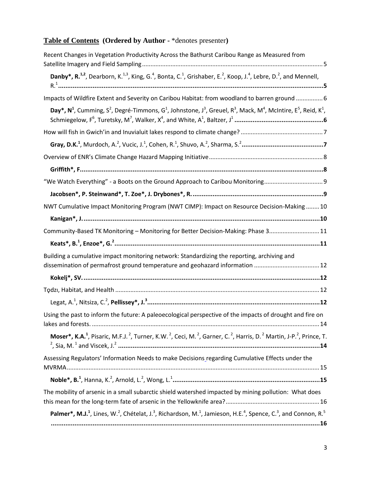# **Table of Contents (Ordered by Author -** \*denotes presenter**)**

| Recent Changes in Vegetation Productivity Across the Bathurst Caribou Range as Measured from                                                                                                            |
|---------------------------------------------------------------------------------------------------------------------------------------------------------------------------------------------------------|
| Danby*, R. <sup>1,2</sup> , Dearborn, K. <sup>1,3</sup> , King, G. <sup>4</sup> , Bonta, C. <sup>1</sup> , Grishaber, E. <sup>2</sup> , Koop, J. <sup>4</sup> , Lebre, D. <sup>2</sup> , and Mennell,   |
| Impacts of Wildfire Extent and Severity on Caribou Habitat: from woodland to barren ground  6                                                                                                           |
| Day*, $N^1$ , Cumming, $S^2$ , Degré-Timmons, $G^1$ , Johnstone, J <sup>3</sup> , Greuel, R <sup>3</sup> , Mack, M <sup>4</sup> , McIntire, E <sup>5</sup> , Reid, K <sup>1</sup> ,                     |
|                                                                                                                                                                                                         |
|                                                                                                                                                                                                         |
|                                                                                                                                                                                                         |
|                                                                                                                                                                                                         |
| "We Watch Everything" - a Boots on the Ground Approach to Caribou Monitoring                                                                                                                            |
|                                                                                                                                                                                                         |
| NWT Cumulative Impact Monitoring Program (NWT CIMP): Impact on Resource Decision-Making  10                                                                                                             |
|                                                                                                                                                                                                         |
| Community-Based TK Monitoring - Monitoring for Better Decision-Making: Phase 3 11                                                                                                                       |
|                                                                                                                                                                                                         |
| Building a cumulative impact monitoring network: Standardizing the reporting, archiving and                                                                                                             |
|                                                                                                                                                                                                         |
|                                                                                                                                                                                                         |
|                                                                                                                                                                                                         |
| Using the past to inform the future: A paleoecological perspective of the impacts of drought and fire on                                                                                                |
| Moser*, K.A. <sup>1</sup> , Pisaric, M.F.J. <sup>2</sup> , Turner, K.W. <sup>2</sup> , Ceci, M. <sup>2</sup> , Garner, C. <sup>2</sup> , Harris, D. <sup>2</sup> Martin, J-P. <sup>2</sup> , Prince, T. |
| Assessing Regulators' Information Needs to make Decisions regarding Cumulative Effects under the                                                                                                        |
|                                                                                                                                                                                                         |
| The mobility of arsenic in a small subarctic shield watershed impacted by mining pollution: What does                                                                                                   |
| Palmer*, M.J. <sup>1</sup> , Lines, W. <sup>2</sup> , Chételat, J. <sup>3</sup> , Richardson, M. <sup>1</sup> , Jamieson, H.E. <sup>4</sup> , Spence, C. <sup>3</sup> , and Connon, R. <sup>5</sup>     |
|                                                                                                                                                                                                         |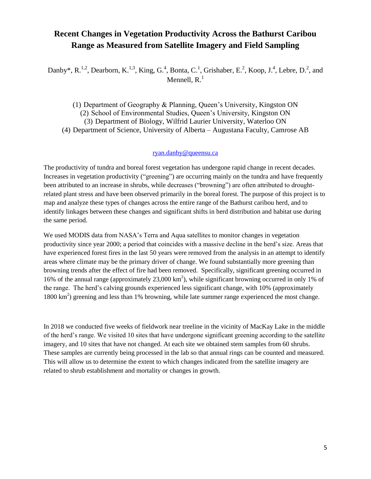### <span id="page-4-0"></span>**Recent Changes in Vegetation Productivity Across the Bathurst Caribou Range as Measured from Satellite Imagery and Field Sampling**

<span id="page-4-1"></span>Danby\*, R.<sup>1,2</sup>, Dearborn, K.<sup>1,3</sup>, King, G.<sup>4</sup>, Bonta, C.<sup>1</sup>, Grishaber, E.<sup>2</sup>, Koop, J.<sup>4</sup>, Lebre, D.<sup>2</sup>, and Mennell,  $R<sup>1</sup>$ 

(1) Department of Geography & Planning, Queen's University, Kingston ON (2) School of Environmental Studies, Queen's University, Kingston ON (3) Department of Biology, Wilfrid Laurier University, Waterloo ON (4) Department of Science, University of Alberta – Augustana Faculty, Camrose AB

#### [ryan.danby@queensu.ca](mailto:ryan.danby@queensu.ca)

The productivity of tundra and boreal forest vegetation has undergone rapid change in recent decades. Increases in vegetation productivity ("greening") are occurring mainly on the tundra and have frequently been attributed to an increase in shrubs, while decreases ("browning") are often attributed to droughtrelated plant stress and have been observed primarily in the boreal forest. The purpose of this project is to map and analyze these types of changes across the entire range of the Bathurst caribou herd, and to identify linkages between these changes and significant shifts in herd distribution and habitat use during the same period.

We used MODIS data from NASA's Terra and Aqua satellites to monitor changes in vegetation productivity since year 2000; a period that coincides with a massive decline in the herd's size. Areas that have experienced forest fires in the last 50 years were removed from the analysis in an attempt to identify areas where climate may be the primary driver of change. We found substantially more greening than browning trends after the effect of fire had been removed. Specifically, significant greening occurred in 16% of the annual range (approximately  $23,000 \text{ km}^2$ ), while significant browning occurred in only 1% of the range. The herd's calving grounds experienced less significant change, with 10% (approximately 1800 km<sup>2</sup>) greening and less than 1% browning, while late summer range experienced the most change.

In 2018 we conducted five weeks of fieldwork near treeline in the vicinity of MacKay Lake in the middle of the herd's range. We visited 10 sites that have undergone significant greening according to the satellite imagery, and 10 sites that have not changed. At each site we obtained stem samples from 60 shrubs. These samples are currently being processed in the lab so that annual rings can be counted and measured. This will allow us to determine the extent to which changes indicated from the satellite imagery are related to shrub establishment and mortality or changes in growth.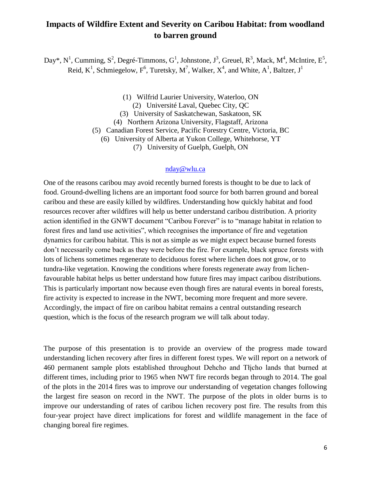# <span id="page-5-0"></span>**Impacts of Wildfire Extent and Severity on Caribou Habitat: from woodland to barren ground**

<span id="page-5-1"></span>Day\*, N<sup>1</sup>, Cumming, S<sup>2</sup>, Degré-Timmons, G<sup>1</sup>, Johnstone, J<sup>3</sup>, Greuel, R<sup>3</sup>, Mack, M<sup>4</sup>, McIntire, E<sup>5</sup>, Reid, K<sup>1</sup>, Schmiegelow, F<sup>6</sup>, Turetsky, M<sup>7</sup>, Walker, X<sup>4</sup>, and White, A<sup>1</sup>, Baltzer, J<sup>1</sup>

(1) Wilfrid Laurier University, Waterloo, ON

(2) Université Laval, Quebec City, QC

(3) University of Saskatchewan, Saskatoon, SK

(4) Northern Arizona University, Flagstaff, Arizona

(5) Canadian Forest Service, Pacific Forestry Centre, Victoria, BC

(6) University of Alberta at Yukon College, Whitehorse, YT

(7) University of Guelph, Guelph, ON

#### [nday@wlu.ca](mailto:nday@wlu.ca)

One of the reasons caribou may avoid recently burned forests is thought to be due to lack of food. Ground-dwelling lichens are an important food source for both barren ground and boreal caribou and these are easily killed by wildfires. Understanding how quickly habitat and food resources recover after wildfires will help us better understand caribou distribution. A priority action identified in the GNWT document "Caribou Forever" is to "manage habitat in relation to forest fires and land use activities", which recognises the importance of fire and vegetation dynamics for caribou habitat. This is not as simple as we might expect because burned forests don't necessarily come back as they were before the fire. For example, black spruce forests with lots of lichens sometimes regenerate to deciduous forest where lichen does not grow, or to tundra-like vegetation. Knowing the conditions where forests regenerate away from lichenfavourable habitat helps us better understand how future fires may impact caribou distributions. This is particularly important now because even though fires are natural events in boreal forests, fire activity is expected to increase in the NWT, becoming more frequent and more severe. Accordingly, the impact of fire on caribou habitat remains a central outstanding research question, which is the focus of the research program we will talk about today.

The purpose of this presentation is to provide an overview of the progress made toward understanding lichen recovery after fires in different forest types. We will report on a network of 460 permanent sample plots established throughout Dehcho and Tłįcho lands that burned at different times, including prior to 1965 when NWT fire records began through to 2014. The goal of the plots in the 2014 fires was to improve our understanding of vegetation changes following the largest fire season on record in the NWT. The purpose of the plots in older burns is to improve our understanding of rates of caribou lichen recovery post fire. The results from this four-year project have direct implications for forest and wildlife management in the face of changing boreal fire regimes.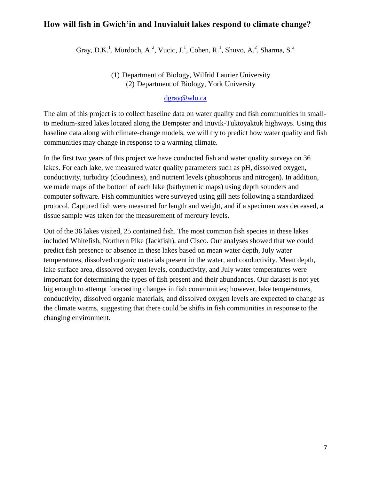### <span id="page-6-1"></span><span id="page-6-0"></span>**How will fish in Gwich'in and Inuvialuit lakes respond to climate change?**

Gray, D.K.<sup>1</sup>, Murdoch, A.<sup>2</sup>, Vucic, J.<sup>1</sup>, Cohen, R.<sup>1</sup>, Shuvo, A.<sup>2</sup>, Sharma, S.<sup>2</sup>

(1) Department of Biology, Wilfrid Laurier University (2) Department of Biology, York University

### [dgray@wlu.ca](mailto:dgray@wlu.ca)

The aim of this project is to collect baseline data on water quality and fish communities in smallto medium-sized lakes located along the Dempster and Inuvik-Tuktoyaktuk highways. Using this baseline data along with climate-change models, we will try to predict how water quality and fish communities may change in response to a warming climate.

In the first two years of this project we have conducted fish and water quality surveys on 36 lakes. For each lake, we measured water quality parameters such as pH, dissolved oxygen, conductivity, turbidity (cloudiness), and nutrient levels (phosphorus and nitrogen). In addition, we made maps of the bottom of each lake (bathymetric maps) using depth sounders and computer software. Fish communities were surveyed using gill nets following a standardized protocol. Captured fish were measured for length and weight, and if a specimen was deceased, a tissue sample was taken for the measurement of mercury levels.

Out of the 36 lakes visited, 25 contained fish. The most common fish species in these lakes included Whitefish, Northern Pike (Jackfish), and Cisco. Our analyses showed that we could predict fish presence or absence in these lakes based on mean water depth, July water temperatures, dissolved organic materials present in the water, and conductivity. Mean depth, lake surface area, dissolved oxygen levels, conductivity, and July water temperatures were important for determining the types of fish present and their abundances. Our dataset is not yet big enough to attempt forecasting changes in fish communities; however, lake temperatures, conductivity, dissolved organic materials, and dissolved oxygen levels are expected to change as the climate warms, suggesting that there could be shifts in fish communities in response to the changing environment.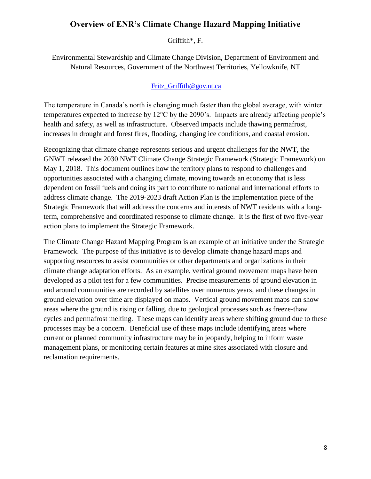### <span id="page-7-0"></span>**Overview of ENR's Climate Change Hazard Mapping Initiative**

Griffith\*, F.

<span id="page-7-1"></span>Environmental Stewardship and Climate Change Division, Department of Environment and Natural Resources, Government of the Northwest Territories, Yellowknife, NT

### [Fritz\\_Griffith@gov.nt.ca](mailto:Fritz_Griffith@gov.nt.ca)

The temperature in Canada's north is changing much faster than the global average, with winter temperatures expected to increase by 12°C by the 2090's. Impacts are already affecting people's health and safety, as well as infrastructure. Observed impacts include thawing permafrost, increases in drought and forest fires, flooding, changing ice conditions, and coastal erosion.

Recognizing that climate change represents serious and urgent challenges for the NWT, the GNWT released the 2030 NWT Climate Change Strategic Framework (Strategic Framework) on May 1, 2018. This document outlines how the territory plans to respond to challenges and opportunities associated with a changing climate, moving towards an economy that is less dependent on fossil fuels and doing its part to contribute to national and international efforts to address climate change. The 2019-2023 draft Action Plan is the implementation piece of the Strategic Framework that will address the concerns and interests of NWT residents with a longterm, comprehensive and coordinated response to climate change. It is the first of two five-year action plans to implement the Strategic Framework.

The Climate Change Hazard Mapping Program is an example of an initiative under the Strategic Framework. The purpose of this initiative is to develop climate change hazard maps and supporting resources to assist communities or other departments and organizations in their climate change adaptation efforts. As an example, vertical ground movement maps have been developed as a pilot test for a few communities. Precise measurements of ground elevation in and around communities are recorded by satellites over numerous years, and these changes in ground elevation over time are displayed on maps. Vertical ground movement maps can show areas where the ground is rising or falling, due to geological processes such as freeze-thaw cycles and permafrost melting. These maps can identify areas where shifting ground due to these processes may be a concern. Beneficial use of these maps include identifying areas where current or planned community infrastructure may be in jeopardy, helping to inform waste management plans, or monitoring certain features at mine sites associated with closure and reclamation requirements.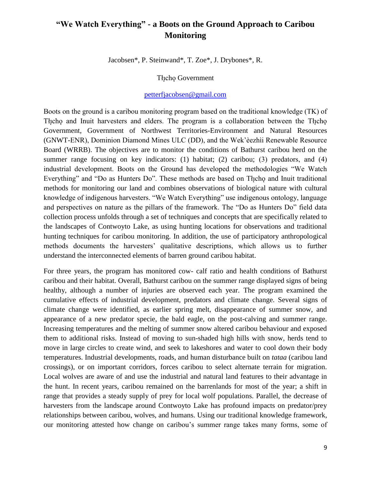# <span id="page-8-1"></span><span id="page-8-0"></span>**"We Watch Everything" - a Boots on the Ground Approach to Caribou Monitoring**

Jacobsen\*, P. Steinwand\*, T. Zoe\*, J. Drybones\*, R.

Tłịcho Government

#### [petterfjacobsen@gmail.com](mailto:petterfjacobsen@gmail.com)

Boots on the ground is a caribou monitoring program based on the traditional knowledge (TK) of The cho and Inuit harvesters and elders. The program is a collaboration between the Theo Government, Government of Northwest Territories-Environment and Natural Resources (GNWT-ENR), Dominion Diamond Mines ULC (DD), and the Wek'èezhìi Renewable Resource Board (WRRB). The objectives are to monitor the conditions of Bathurst caribou herd on the summer range focusing on key indicators: (1) habitat; (2) caribou; (3) predators, and (4) industrial development. Boots on the Ground has developed the methodologies "We Watch Everything" and "Do as Hunters Do". These methods are based on The cho and Inuit traditional methods for monitoring our land and combines observations of biological nature with cultural knowledge of indigenous harvesters. "We Watch Everything" use indigenous ontology, language and perspectives on nature as the pillars of the framework. The "Do as Hunters Do" field data collection process unfolds through a set of techniques and concepts that are specifically related to the landscapes of Contwoyto Lake, as using hunting locations for observations and traditional hunting techniques for caribou monitoring. In addition, the use of participatory anthropological methods documents the harvesters' qualitative descriptions, which allows us to further understand the interconnected elements of barren ground caribou habitat.

For three years, the program has monitored cow- calf ratio and health conditions of Bathurst caribou and their habitat. Overall, Bathurst caribou on the summer range displayed signs of being healthy, although a number of injuries are observed each year. The program examined the cumulative effects of industrial development, predators and climate change. Several signs of climate change were identified, as earlier spring melt, disappearance of summer snow, and appearance of a new predator specie, the bald eagle, on the post-calving and summer range. Increasing temperatures and the melting of summer snow altered caribou behaviour and exposed them to additional risks. Instead of moving to sun-shaded high hills with snow, herds tend to move in large circles to create wind, and seek to lakeshores and water to cool down their body temperatures. Industrial developments, roads, and human disturbance built on *tataa* (caribou land crossings), or on important corridors, forces caribou to select alternate terrain for migration. Local wolves are aware of and use the industrial and natural land features to their advantage in the hunt. In recent years, caribou remained on the barrenlands for most of the year; a shift in range that provides a steady supply of prey for local wolf populations. Parallel, the decrease of harvesters from the landscape around Contwoyto Lake has profound impacts on predator/prey relationships between caribou, wolves, and humans. Using our traditional knowledge framework, our monitoring attested how change on caribou's summer range takes many forms, some of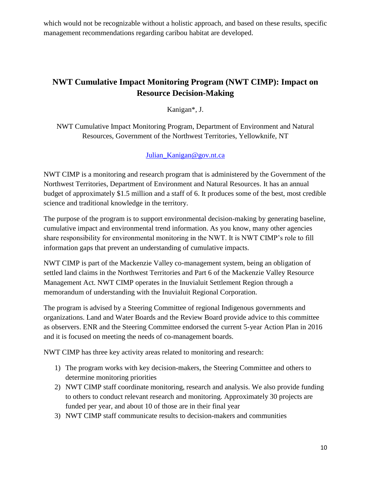which would not be recognizable without a holistic approach, and based on these results, specific management recommendations regarding caribou habitat are developed.

# <span id="page-9-1"></span><span id="page-9-0"></span>**NWT Cumulative Impact Monitoring Program (NWT CIMP): Impact on Resource Decision-Making**

Kanigan\*, J.

NWT Cumulative Impact Monitoring Program, Department of Environment and Natural Resources, Government of the Northwest Territories, Yellowknife, NT

[Julian\\_Kanigan@gov.nt.ca](mailto:Julian_Kanigan@gov.nt.ca)

NWT CIMP is a monitoring and research program that is administered by the Government of the Northwest Territories, Department of Environment and Natural Resources. It has an annual budget of approximately \$1.5 million and a staff of 6. It produces some of the best, most credible science and traditional knowledge in the territory.

The purpose of the program is to support environmental decision-making by generating baseline, cumulative impact and environmental trend information. As you know, many other agencies share responsibility for environmental monitoring in the NWT. It is NWT CIMP's role to fill information gaps that prevent an understanding of cumulative impacts.

NWT CIMP is part of the Mackenzie Valley co-management system, being an obligation of settled land claims in the Northwest Territories and Part 6 of the Mackenzie Valley Resource Management Act. NWT CIMP operates in the Inuvialuit Settlement Region through a memorandum of understanding with the Inuvialuit Regional Corporation.

The program is advised by a Steering Committee of regional Indigenous governments and organizations. Land and Water Boards and the Review Board provide advice to this committee as observers. ENR and the Steering Committee endorsed the current 5-year Action Plan in 2016 and it is focused on meeting the needs of co-management boards.

NWT CIMP has three key activity areas related to monitoring and research:

- 1) The program works with key decision-makers, the Steering Committee and others to determine monitoring priorities
- 2) NWT CIMP staff coordinate monitoring, research and analysis. We also provide funding to others to conduct relevant research and monitoring. Approximately 30 projects are funded per year, and about 10 of those are in their final year
- 3) NWT CIMP staff communicate results to decision-makers and communities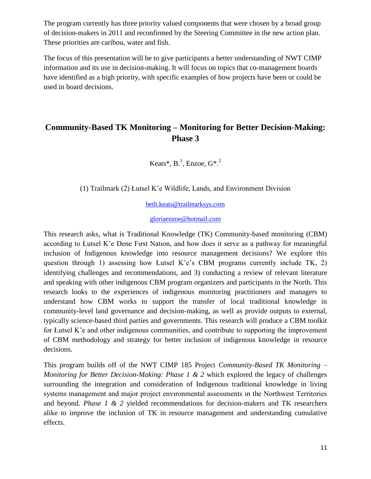The program currently has three priority valued components that were chosen by a broad group of decision-makers in 2011 and reconfirmed by the Steering Committee in the new action plan. These priorities are caribou, water and fish.

The focus of this presentation will be to give participants a better understanding of NWT CIMP information and its use in decision-making. It will focus on topics that co-management boards have identified as a high priority, with specific examples of how projects have been or could be used in board decisions.

### <span id="page-10-1"></span><span id="page-10-0"></span>**Community-Based TK Monitoring – Monitoring for Better Decision-Making: Phase 3**

Keats\*,  $B^1$ , Enzoe,  $G^*$ .<sup>2</sup>

(1) Trailmark (2) Łutsel K'e Wildlife, Lands, and Environment Division

[beth.keats@trailmarksys.com](mailto:beth.keats@trailmarksys.com)

[gloriaenzoe@hotmail.com](mailto:gloriaenzoe@hotmail.com)

This research asks, what is Traditional Knowledge (TK) Community-based monitoring (CBM) according to Łutsel K'e Dene Fırst Natıon, and how does it serve as a pathway for meaningful inclusion of Indigenous knowledge into resource management decisions? We explore this question through 1) assessing how Łutsel K'e's CBM programs currently include TK, 2) identifying challenges and recommendations, and 3) conducting a review of relevant literature and speaking with other indigenous CBM program organizers and participants in the North. This research looks to the experiences of indigenous monitoring practitioners and managers to understand how CBM works to support the transfer of local traditional knowledge in community-level land governance and decision-making, as well as provide outputs to external, typically science-based third parties and governments. This research will produce a CBM toolkit for Łutsel K'e and other indigenous communities, and contribute to supporting the improvement of CBM methodology and strategy for better inclusion of indigenous knowledge in resource decisions.

This program builds off of the NWT CIMP 185 Project *Community-Based TK Monitoring – Monitoring for Better Decision-Making: Phase 1 & 2 which explored the legacy of challenges* surrounding the integration and consideration of Indigenous traditional knowledge in living systems management and major project envıronmental assessments ın the Northwest Territories and beyond. *Phase 1 & 2* yielded recommendations for decision-makers and TK researchers alike to improve the inclusion of TK in resource management and understanding cumulative effects.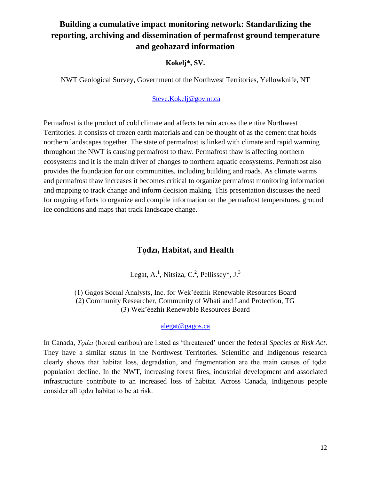# <span id="page-11-0"></span>**Building a cumulative impact monitoring network: Standardizing the reporting, archiving and dissemination of permafrost ground temperature and geohazard information**

### **Kokelj\*, SV.**

<span id="page-11-1"></span>NWT Geological Survey, Government of the Northwest Territories, Yellowknife, NT

### [Steve.Kokelj@gov.nt.ca](mailto:Steve.Kokelj@gov.nt.ca)

Permafrost is the product of cold climate and affects terrain across the entire Northwest Territories. It consists of frozen earth materials and can be thought of as the cement that holds northern landscapes together. The state of permafrost is linked with climate and rapid warming throughout the NWT is causing permafrost to thaw. Permafrost thaw is affecting northern ecosystems and it is the main driver of changes to northern aquatic ecosystems. Permafrost also provides the foundation for our communities, including building and roads. As climate warms and permafrost thaw increases it becomes critical to organize permafrost monitoring information and mapping to track change and inform decision making. This presentation discusses the need for ongoing efforts to organize and compile information on the permafrost temperatures, ground ice conditions and maps that track landscape change.

# **Tǫdzı, Habitat, and Health**

Legat, A.<sup>1</sup>, Nitsiza, C.<sup>2</sup>, Pellissey\*, J.<sup>3</sup>

<span id="page-11-3"></span><span id="page-11-2"></span>(1) Gagos Social Analysts, Inc. for Wek'èezhìı Renewable Resources Board (2) Community Researcher, Community of Whatì and Land Protection, TG (3) Wek'èezhìı Renewable Resources Board

### [alegat@gagos.ca](mailto:alegat@gagos.ca)

In Canada, *Tǫdzı* (boreal caribou) are listed as 'threatened' under the federal *Species at Risk Act*. They have a similar status in the Northwest Territories. Scientific and Indigenous research clearly shows that habitat loss, degradation, and fragmentation are the main causes of todzi population decline. In the NWT, increasing forest fires, industrial development and associated infrastructure contribute to an increased loss of habitat. Across Canada, Indigenous people consider all todzi habitat to be at risk.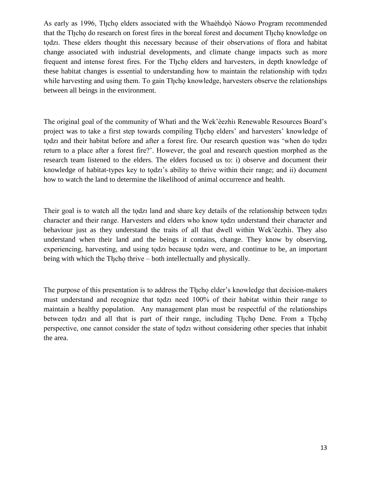As early as 1996, The ho elders associated with the Whaèhdo Náowo Program recommended that the Tłįcho do research on forest fires in the boreal forest and document Tłįcho knowledge on todzi. These elders thought this necessary because of their observations of flora and habitat change associated with industrial developments, and climate change impacts such as more frequent and intense forest fires. For the Theore elders and harvesters, in depth knowledge of these habitat changes is essential to understanding how to maintain the relationship with todzi while harvesting and using them. To gain Theory knowledge, harvesters observe the relationships between all beings in the environment.

The original goal of the community of Whatì and the Wek'èezhìı Renewable Resources Board's project was to take a first step towards compiling The ho elders' and harvesters' knowledge of todzi and their habitat before and after a forest fire. Our research question was 'when do todzi return to a place after a forest fire?'. However, the goal and research question morphed as the research team listened to the elders. The elders focused us to: i) observe and document their knowledge of habitat-types key to todzi's ability to thrive within their range; and ii) document how to watch the land to determine the likelihood of animal occurrence and health.

Their goal is to watch all the todzi land and share key details of the relationship between todzi character and their range. Harvesters and elders who know todzi understand their character and behaviour just as they understand the traits of all that dwell within Wek'èezhìı. They also understand when their land and the beings it contains, change. They know by observing, experiencing, harvesting, and using todzi because todzi were, and continue to be, an important being with which the Theolo thrive – both intellectually and physically.

The purpose of this presentation is to address the Theore elder's knowledge that decision-makers must understand and recognize that todzi need 100% of their habitat within their range to maintain a healthy population. Any management plan must be respectful of the relationships between todzi and all that is part of their range, including Theop Dene. From a Theop perspective, one cannot consider the state of todzi without considering other species that inhabit the area.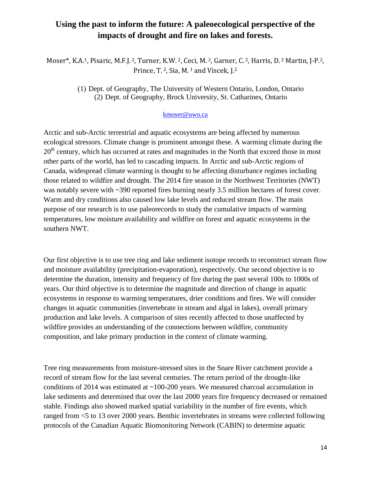# <span id="page-13-0"></span>**Using the past to inform the future: A paleoecological perspective of the impacts of drought and fire on lakes and forests.**

<span id="page-13-1"></span>Moser\*, K.A.1, Pisaric, M.F.J. <sup>2</sup>, Turner, K.W. <sup>2</sup>, Ceci, M. <sup>2</sup>, Garner, C. <sup>2</sup>, Harris, D. <sup>2</sup> Martin, J-P.2, Prince, T.<sup>2</sup>, Sia, M.<sup>1</sup> and Viscek, J.<sup>2</sup>

> (1) Dept. of Geography, The University of Western Ontario, London, Ontario (2) Dept. of Geography, Brock University, St. Catharines, Ontario

#### [kmoser@uwo.ca](mailto:kmoser@uwo.ca)

Arctic and sub-Arctic terrestrial and aquatic ecosystems are being affected by numerous ecological stressors. Climate change is prominent amongst these. A warming climate during the  $20<sup>th</sup>$  century, which has occurred at rates and magnitudes in the North that exceed those in most other parts of the world, has led to cascading impacts. In Arctic and sub-Arctic regions of Canada, widespread climate warming is thought to be affecting disturbance regimes including those related to wildfire and drought. The 2014 fire season in the Northwest Territories (NWT) was notably severe with ~390 reported fires burning nearly 3.5 million hectares of forest cover. Warm and dry conditions also caused low lake levels and reduced stream flow. The main purpose of our research is to use paleorecords to study the cumulative impacts of warming temperatures, low moisture availability and wildfire on forest and aquatic ecosystems in the southern NWT.

Our first objective is to use tree ring and lake sediment isotope records to reconstruct stream flow and moisture availability (precipitation-evaporation), respectively. Our second objective is to determine the duration, intensity and frequency of fire during the past several 100s to 1000s of years. Our third objective is to determine the magnitude and direction of change in aquatic ecosystems in response to warming temperatures, drier conditions and fires. We will consider changes in aquatic communities (invertebrate in stream and algal in lakes), overall primary production and lake levels. A comparison of sites recently affected to those unaffected by wildfire provides an understanding of the connections between wildfire, community composition, and lake primary production in the context of climate warming.

Tree ring measurements from moisture-stressed sites in the Snare River catchment provide a record of stream flow for the last several centuries. The return period of the drought-like conditions of 2014 was estimated at ~100-200 years. We measured charcoal accumulation in lake sediments and determined that over the last 2000 years fire frequency decreased or remained stable. Findings also showed marked spatial variability in the number of fire events, which ranged from <5 to 13 over 2000 years. Benthic invertebrates in streams were collected following protocols of the Canadian Aquatic Biomonitoring Network (CABIN) to determine aquatic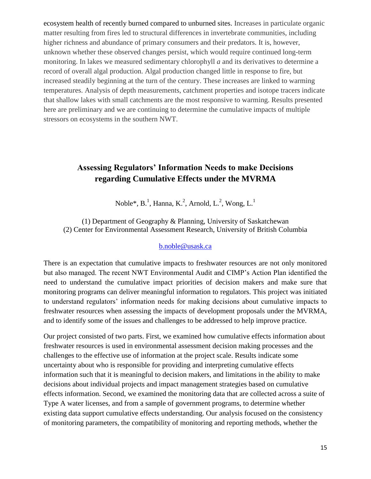ecosystem health of recently burned compared to unburned sites. Increases in particulate organic matter resulting from fires led to structural differences in invertebrate communities, including higher richness and abundance of primary consumers and their predators. It is, however, unknown whether these observed changes persist, which would require continued long-term monitoring. In lakes we measured sedimentary chlorophyll *a* and its derivatives to determine a record of overall algal production. Algal production changed little in response to fire, but increased steadily beginning at the turn of the century. These increases are linked to warming temperatures. Analysis of depth measurements, catchment properties and isotope tracers indicate that shallow lakes with small catchments are the most responsive to warming. Results presented here are preliminary and we are continuing to determine the cumulative impacts of multiple stressors on ecosystems in the southern NWT.

# <span id="page-14-1"></span><span id="page-14-0"></span>**Assessing Regulators' Information Needs to make Decisions regarding Cumulative Effects under the MVRMA**

Noble\*, B.<sup>1</sup>, Hanna, K.<sup>2</sup>, Arnold, L.<sup>2</sup>, Wong, L.<sup>1</sup>

<span id="page-14-2"></span>(1) Department of Geography & Planning, University of Saskatchewan (2) Center for Environmental Assessment Research, University of British Columbia

#### [b.noble@usask.ca](mailto:Terry_Armstrong@gov.nt.ca)

There is an expectation that cumulative impacts to freshwater resources are not only monitored but also managed. The recent NWT Environmental Audit and CIMP's Action Plan identified the need to understand the cumulative impact priorities of decision makers and make sure that monitoring programs can deliver meaningful information to regulators. This project was initiated to understand regulators' information needs for making decisions about cumulative impacts to freshwater resources when assessing the impacts of development proposals under the MVRMA, and to identify some of the issues and challenges to be addressed to help improve practice.

Our project consisted of two parts. First, we examined how cumulative effects information about freshwater resources is used in environmental assessment decision making processes and the challenges to the effective use of information at the project scale. Results indicate some uncertainty about who is responsible for providing and interpreting cumulative effects information such that it is meaningful to decision makers, and limitations in the ability to make decisions about individual projects and impact management strategies based on cumulative effects information. Second, we examined the monitoring data that are collected across a suite of Type A water licenses, and from a sample of government programs, to determine whether existing data support cumulative effects understanding. Our analysis focused on the consistency of monitoring parameters, the compatibility of monitoring and reporting methods, whether the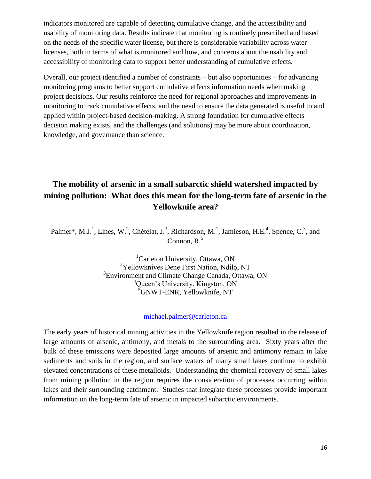indicators monitored are capable of detecting cumulative change, and the accessibility and usability of monitoring data. Results indicate that monitoring is routinely prescribed and based on the needs of the specific water license, but there is considerable variability across water licenses, both in terms of what is monitored and how, and concerns about the usability and accessibility of monitoring data to support better understanding of cumulative effects.

Overall, our project identified a number of constraints – but also opportunities – for advancing monitoring programs to better support cumulative effects information needs when making project decisions. Our results reinforce the need for regional approaches and improvements in monitoring to track cumulative effects, and the need to ensure the data generated is useful to and applied within project-based decision-making. A strong foundation for cumulative effects decision making exists, and the challenges (and solutions) may be more about coordination, knowledge, and governance than science.

# <span id="page-15-0"></span>**The mobility of arsenic in a small subarctic shield watershed impacted by mining pollution: What does this mean for the long-term fate of arsenic in the Yellowknife area?**

<span id="page-15-1"></span>Palmer\*, M.J.<sup>1</sup>, Lines, W.<sup>2</sup>, Chételat, J.<sup>3</sup>, Richardson, M.<sup>1</sup>, Jamieson, H.E.<sup>4</sup>, Spence, C.<sup>3</sup>, and Connon,  $R<sup>5</sup>$ 

> <sup>1</sup>Carleton University, Ottawa, ON <sup>2</sup>Yellowknives Dene First Nation, Ndilo, NT <sup>3</sup> Environment and Climate Change Canada, Ottawa, ON <sup>4</sup>Oueen's University, Kingston, ON <sup>5</sup>GNWT-ENR, Yellowknife, NT

#### [michael.palmer@carleton.ca](mailto:michael.palmer@carleton.ca)

The early years of historical mining activities in the Yellowknife region resulted in the release of large amounts of arsenic, antimony, and metals to the surrounding area. Sixty years after the bulk of these emissions were deposited large amounts of arsenic and antimony remain in lake sediments and soils in the region, and surface waters of many small lakes continue to exhibit elevated concentrations of these metalloids. Understanding the chemical recovery of small lakes from mining pollution in the region requires the consideration of processes occurring within lakes and their surrounding catchment. Studies that integrate these processes provide important information on the long-term fate of arsenic in impacted subarctic environments.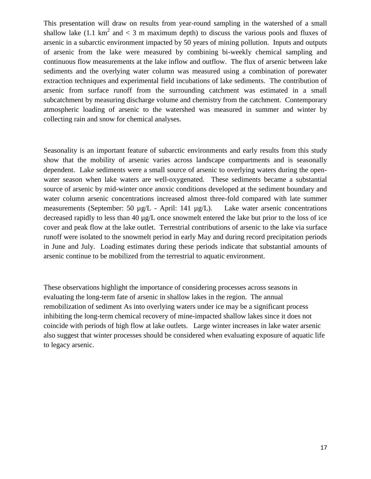This presentation will draw on results from year-round sampling in the watershed of a small shallow lake (1.1 km<sup>2</sup> and  $<$  3 m maximum depth) to discuss the various pools and fluxes of arsenic in a subarctic environment impacted by 50 years of mining pollution. Inputs and outputs of arsenic from the lake were measured by combining bi-weekly chemical sampling and continuous flow measurements at the lake inflow and outflow. The flux of arsenic between lake sediments and the overlying water column was measured using a combination of porewater extraction techniques and experimental field incubations of lake sediments. The contribution of arsenic from surface runoff from the surrounding catchment was estimated in a small subcatchment by measuring discharge volume and chemistry from the catchment. Contemporary atmospheric loading of arsenic to the watershed was measured in summer and winter by collecting rain and snow for chemical analyses.

Seasonality is an important feature of subarctic environments and early results from this study show that the mobility of arsenic varies across landscape compartments and is seasonally dependent. Lake sediments were a small source of arsenic to overlying waters during the openwater season when lake waters are well-oxygenated. These sediments became a substantial source of arsenic by mid-winter once anoxic conditions developed at the sediment boundary and water column arsenic concentrations increased almost three-fold compared with late summer measurements (September: 50 µg/L - April: 141 µg/L). Lake water arsenic concentrations decreased rapidly to less than 40 µg/L once snowmelt entered the lake but prior to the loss of ice cover and peak flow at the lake outlet. Terrestrial contributions of arsenic to the lake via surface runoff were isolated to the snowmelt period in early May and during record precipitation periods in June and July. Loading estimates during these periods indicate that substantial amounts of arsenic continue to be mobilized from the terrestrial to aquatic environment.

These observations highlight the importance of considering processes across seasons in evaluating the long-term fate of arsenic in shallow lakes in the region. The annual remobilization of sediment As into overlying waters under ice may be a significant process inhibiting the long-term chemical recovery of mine-impacted shallow lakes since it does not coincide with periods of high flow at lake outlets. Large winter increases in lake water arsenic also suggest that winter processes should be considered when evaluating exposure of aquatic life to legacy arsenic.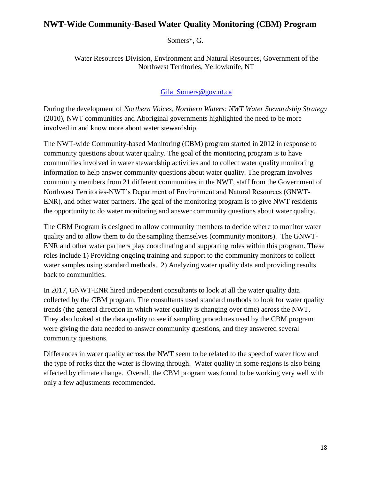### <span id="page-17-1"></span><span id="page-17-0"></span>**NWT-Wide Community-Based Water Quality Monitoring (CBM) Program**

Somers\*, G.

Water Resources Division, Environment and Natural Resources, Government of the Northwest Territories, Yellowknife, NT

### [Gila\\_Somers@gov.nt.ca](mailto:Gila_Somers@gov.nt.ca)

During the development of *Northern Voices, Northern Waters: NWT Water Stewardship Strategy* (2010), NWT communities and Aboriginal governments highlighted the need to be more involved in and know more about water stewardship.

The NWT-wide Community-based Monitoring (CBM) program started in 2012 in response to community questions about water quality. The goal of the monitoring program is to have communities involved in water stewardship activities and to collect water quality monitoring information to help answer community questions about water quality. The program involves community members from 21 different communities in the NWT, staff from the Government of Northwest Territories-NWT's Department of Environment and Natural Resources (GNWT-ENR), and other water partners. The goal of the monitoring program is to give NWT residents the opportunity to do water monitoring and answer community questions about water quality.

The CBM Program is designed to allow community members to decide where to monitor water quality and to allow them to do the sampling themselves (community monitors). The GNWT-ENR and other water partners play coordinating and supporting roles within this program. These roles include 1) Providing ongoing training and support to the community monitors to collect water samples using standard methods. 2) Analyzing water quality data and providing results back to communities.

In 2017, GNWT-ENR hired independent consultants to look at all the water quality data collected by the CBM program. The consultants used standard methods to look for water quality trends (the general direction in which water quality is changing over time) across the NWT. They also looked at the data quality to see if sampling procedures used by the CBM program were giving the data needed to answer community questions, and they answered several community questions.

Differences in water quality across the NWT seem to be related to the speed of water flow and the type of rocks that the water is flowing through. Water quality in some regions is also being affected by climate change. Overall, the CBM program was found to be working very well with only a few adjustments recommended.